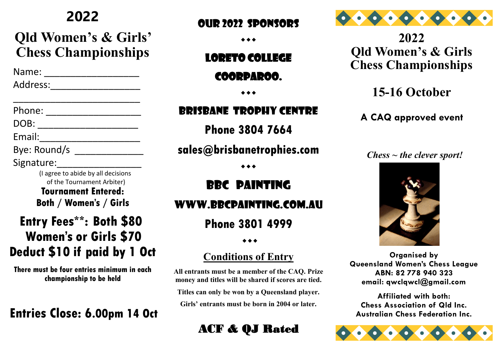## **2022**

## **Qld Women's & Girls' Chess Championships**

 Name: \_\_\_\_\_\_\_\_\_\_\_\_\_\_\_\_\_\_ Address:\_\_\_\_\_\_\_\_\_\_\_\_\_\_\_\_\_

\_\_\_\_\_\_\_\_\_\_\_\_\_\_\_\_\_\_\_\_\_\_\_\_

Phone: \_\_\_\_\_\_\_\_\_\_\_\_\_\_\_\_\_\_

DOB: \_\_\_\_\_\_\_\_\_\_\_\_\_\_\_\_\_\_\_

Email: \_\_\_\_\_\_\_\_\_\_\_\_\_\_\_\_\_\_\_\_\_\_

Bye: Round/s

Signature:

 (I agree to abide by all decisions of the Tournament Arbiter) **Tournament Entered: Both / Women's / Girls** 

## **Entry Fees\*\*: Both \$80 Women's or Girls \$70 Deduct \$10 if paid by 1 Oct**

**There must be four entries minimum in each championship to be held**

## **Entries Close: 6.00pm 14 Oct**

#### OUR 2022 SPONSORS

 $\bullet\bullet\bullet$ 

#### Loreto college

#### Coorparoo.

 $\bullet\bullet\bullet$ 

#### BRISBANE trophy CENTRE

**Phone 3804 7664**

#### **sales@brisbanetrophies.com**

 $\bullet\bullet\bullet$ 

## BBC painting

#### Www.bbcpainting.com.au

**Phone 3801 4999**

 $\leftrightarrow$ 

#### **Conditions of Entry**

**All entrants must be a member of the CAQ. Prize money and titles will be shared if scores are tied.** 

**Titles can only be won by a Queensland player.** 

**Girls' entrants must be born in 2004 or later.**

## ACF & QJ Rated



**2022 Qld Women's & Girls Chess Championships**

## **15-16 October**

**A CAQ approved event**

#### *Chess ~ the clever sport!*



**Organised by Queensland Women's Chess League ABN: 82 778 940 323 email: qwclqwcl@gmail.com**

**Affiliated with both: Chess Association of Qld Inc. Australian Chess Federation Inc.**